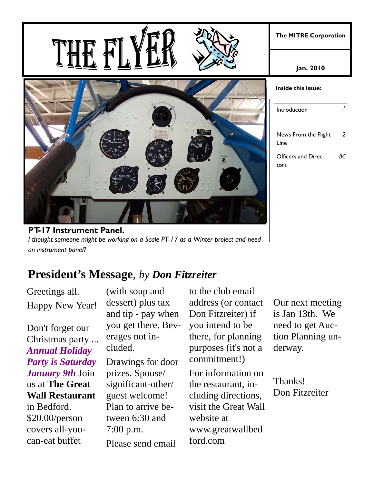**PT-17 Instrument Panel.**  *I thought someone might be working on a Scale PT-17 as a Winter project and need an instrument panel?* 

# **President's Message**, *by Don Fitzreiter*

Greetings all. Happy New Year!

Don't forget our Christmas party ... *Annual Holiday Party is Saturday January 9th* Join us at **The Great Wall Restaurant**  in Bedford. \$20.00/person covers all-youcan-eat buffet

(with soup and dessert) plus tax and tip - pay when you get there. Beverages not included.

Drawings for door prizes. Spouse/ significant-other/ guest welcome! Plan to arrive between 6:30 and 7:00 p.m. Please send email

to the club email address (or contact Don Fitzreiter) if you intend to be there, for planning purposes (it's not a commitment!)

For information on the restaurant, including directions, visit the Great Wall website at www.greatwallbed ford.com

Our next meeting is Jan 13th. We need to get Auction Planning underway.

Thanks! Don Fitzreiter

Introduction News From the Flight Line *2*  Officers and Directors *BC* 

#### **The MITRE Corporation**

**Jan. 2010** 

**Inside this issue:** 

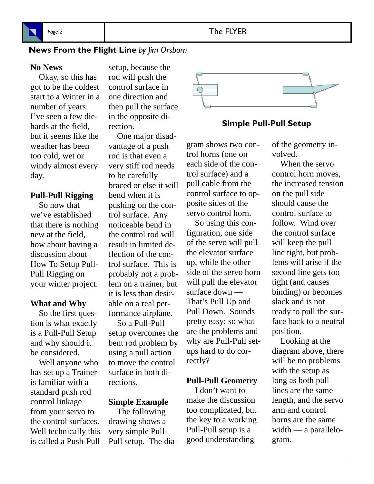

### Page 2 and 2 and 2 and 2 and 2 and 2 and 2 and 2 and 2 and 2 and 2 and 2 and 2 and 2 and 2 and 2 and 2 and 2 and 2 and 2 and 2 and 2 and 2 and 2 and 2 and 2 and 2 and 2 and 2 and 2 and 2 and 2 and 2 and 2 and 2 and 2 and 2

### **News From the Flight Line** *by Jim Orsborn*

#### **No News**

 Okay, so this has got to be the coldest start to a Winter in a number of years. I've seen a few diehards at the field, but it seems like the weather has been too cold, wet or windy almost every day.

#### **Pull-Pull Rigging**

 So now that we've established that there is nothing new at the field, how about having a discussion about How To Setup Pull-Pull Rigging on your winter project.

#### **What and Why**

 So the first question is what exactly is a Pull-Pull Setup and why should it be considered.

 Well anyone who has set up a Trainer is familiar with a standard push rod control linkage from your servo to the control surfaces. Well technically this is called a Push-Pull

setup, because the rod will push the control surface in one direction and then pull the surface in the opposite direction.

 One major disadvantage of a push rod is that even a very stiff rod needs to be carefully braced or else it will bend when it is pushing on the control surface. Any noticeable bend in the control rod will result in limited deflection of the control surface. This is probably not a problem on a trainer, but it is less than desirable on a real performance airplane.

 So a Pull-Pull setup overcomes the bent rod problem by using a pull action to move the control surface in both directions.

#### **Simple Example**

 The following drawing shows a very simple Pull-Pull setup. The dia-



#### **Simple Pull-Pull Setup**

gram shows two control horns (one on each side of the control surface) and a pull cable from the control surface to opposite sides of the servo control horn.

 So using this configuration, one side of the servo will pull the elevator surface up, while the other side of the servo horn will pull the elevator surface down — That's Pull Up and Pull Down. Sounds pretty easy; so what are the problems and why are Pull-Pull setups hard to do correctly?

#### **Pull-Pull Geometry**

 I don't want to make the discussion too complicated, but the key to a working Pull-Pull setup is a good understanding

of the geometry involved.

 When the servo control horn moves, the increased tension on the pull side should cause the control surface to follow. Wind over the control surface will keep the pull line tight, but problems will arise if the second line gets too tight (and causes binding) or becomes slack and is not ready to pull the surface back to a neutral position.

 Looking at the diagram above, there will be no problems with the setup as long as both pull lines are the same length, and the servo arm and control horns are the same width — a parallelogram.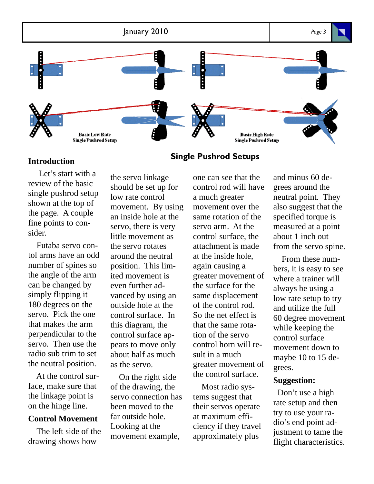

#### **Introduction**

 Let's start with a review of the basic single pushrod setup shown at the top of the page. A couple fine points to consider.

 Futaba servo contol arms have an odd number of spines so the angle of the arm can be changed by simply flipping it 180 degrees on the servo. Pick the one that makes the arm perpendicular to the servo. Then use the radio sub trim to set the neutral position.

 At the control surface, make sure that the linkage point is on the hinge line.

#### **Control Movement**

 The left side of the drawing shows how

the servo linkage should be set up for low rate control movement. By using an inside hole at the servo, there is very little movement as the servo rotates around the neutral position. This limited movement is even further advanced by using an outside hole at the control surface. In this diagram, the control surface appears to move only about half as much as the servo.

 On the right side of the drawing, the servo connection has been moved to the far outside hole. Looking at the movement example,

#### **Single Pushrod Setups**

one can see that the control rod will have a much greater movement over the same rotation of the servo arm. At the control surface, the attachment is made at the inside hole, again causing a greater movement of the surface for the same displacement of the control rod. So the net effect is that the same rotation of the servo control horn will result in a much greater movement of the control surface.

 Most radio systems suggest that their servos operate at maximum efficiency if they travel approximately plus

and minus 60 degrees around the neutral point. They also suggest that the specified torque is measured at a point about 1 inch out from the servo spine.

 From these numbers, it is easy to see where a trainer will always be using a low rate setup to try and utilize the full 60 degree movement while keeping the control surface movement down to maybe 10 to 15 degrees.

#### **Suggestion:**

 Don't use a high rate setup and then try to use your radio's end point adjustment to tame the flight characteristics.